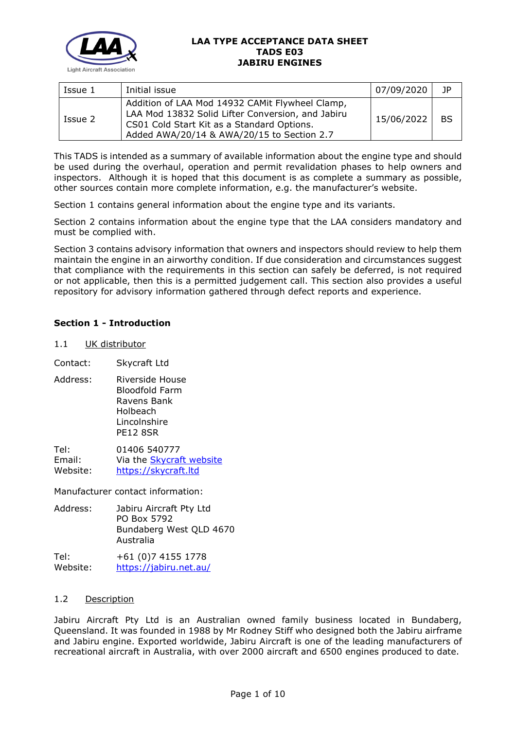

| Issue 1 | Initial issue                                                                                                                                                                                    | 07/09/2020 | -JP |
|---------|--------------------------------------------------------------------------------------------------------------------------------------------------------------------------------------------------|------------|-----|
| Issue 2 | Addition of LAA Mod 14932 CAMit Flywheel Clamp,<br>LAA Mod 13832 Solid Lifter Conversion, and Jabiru<br>CS01 Cold Start Kit as a Standard Options.<br>Added AWA/20/14 & AWA/20/15 to Section 2.7 | 15/06/2022 | BS  |

This TADS is intended as a summary of available information about the engine type and should be used during the overhaul, operation and permit revalidation phases to help owners and inspectors. Although it is hoped that this document is as complete a summary as possible, other sources contain more complete information, e.g. the manufacturer's website.

Section 1 contains general information about the engine type and its variants.

Section 2 contains information about the engine type that the LAA considers mandatory and must be complied with.

Section 3 contains advisory information that owners and inspectors should review to help them maintain the engine in an airworthy condition. If due consideration and circumstances suggest that compliance with the requirements in this section can safely be deferred, is not required or not applicable, then this is a permitted judgement call. This section also provides a useful repository for advisory information gathered through defect reports and experience.

# **Section 1 - Introduction**

#### 1.1 UK distributor

Contact: Skycraft Ltd

Address: Riverside House Bloodfold Farm Ravens Bank Holbeach Lincolnshire PE12 8SR

Tel: 01406 540777 Email: Via the **Skycraft website**<br>Website: https://skycraft.ltd [https://skycraft.ltd](https://skycraft.ltd/index.html)

Manufacturer contact information:

Address: Jabiru Aircraft Pty Ltd PO Box 5792 Bundaberg West QLD 4670 Australia Tel: +61 (0)7 4155 1778

Website: <https://jabiru.net.au/>

### 1.2 Description

Jabiru Aircraft Pty Ltd is an Australian owned family business located in Bundaberg, Queensland. It was founded in 1988 by Mr Rodney Stiff who designed both the Jabiru airframe and Jabiru engine. Exported worldwide, Jabiru Aircraft is one of the leading manufacturers of recreational aircraft in Australia, with over 2000 aircraft and 6500 engines produced to date.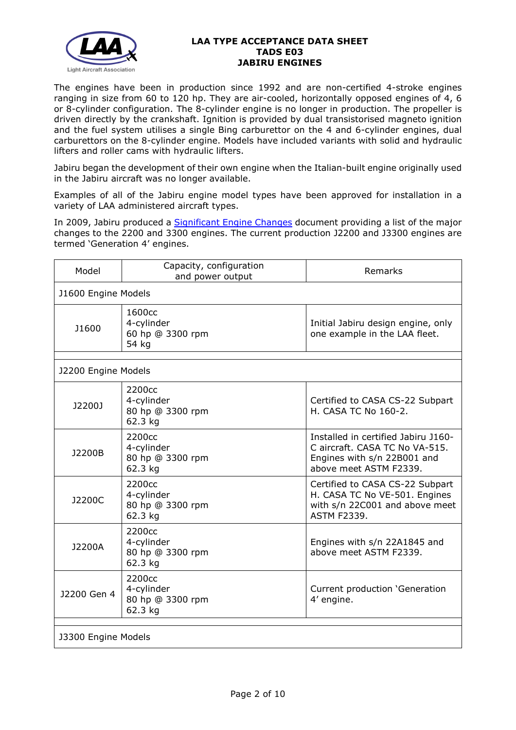

The engines have been in production since 1992 and are non-certified 4-stroke engines ranging in size from 60 to 120 hp. They are air-cooled, horizontally opposed engines of 4, 6 or 8-cylinder configuration. The 8-cylinder engine is no longer in production. The propeller is driven directly by the crankshaft. Ignition is provided by dual transistorised magneto ignition and the fuel system utilises a single Bing carburettor on the 4 and 6-cylinder engines, dual carburettors on the 8-cylinder engine. Models have included variants with solid and hydraulic lifters and roller cams with hydraulic lifters.

Jabiru began the development of their own engine when the Italian-built engine originally used in the Jabiru aircraft was no longer available.

Examples of all of the Jabiru engine model types have been approved for installation in a variety of LAA administered aircraft types.

In 2009, Jabiru produced a **Significant Engine Changes** document providing a list of the major changes to the 2200 and 3300 engines. The current production J2200 and J3300 engines are termed 'Generation 4' engines.

| Model               | Capacity, configuration<br>and power output                     | Remarks                                                                                                                        |  |  |
|---------------------|-----------------------------------------------------------------|--------------------------------------------------------------------------------------------------------------------------------|--|--|
|                     | J1600 Engine Models                                             |                                                                                                                                |  |  |
| J1600               | 1600cc<br>4-cylinder<br>60 hp @ 3300 rpm<br>54 kg               | Initial Jabiru design engine, only<br>one example in the LAA fleet.                                                            |  |  |
| J2200 Engine Models |                                                                 |                                                                                                                                |  |  |
| J2200J              | 2200cc<br>4-cylinder<br>80 hp @ 3300 rpm<br>62.3 kg             | Certified to CASA CS-22 Subpart<br>H. CASA TC No 160-2.                                                                        |  |  |
| J2200B              | 2200cc<br>4-cylinder<br>80 hp @ 3300 rpm<br>62.3 kg             | Installed in certified Jabiru J160-<br>C aircraft. CASA TC No VA-515.<br>Engines with s/n 22B001 and<br>above meet ASTM F2339. |  |  |
| J2200C              | 2200 <sub>cc</sub><br>4-cylinder<br>80 hp @ 3300 rpm<br>62.3 kg | Certified to CASA CS-22 Subpart<br>H. CASA TC No VE-501. Engines<br>with s/n 22C001 and above meet<br><b>ASTM F2339.</b>       |  |  |
| J2200A              | 2200cc<br>4-cylinder<br>80 hp @ 3300 rpm<br>62.3 kg             | Engines with s/n 22A1845 and<br>above meet ASTM F2339.                                                                         |  |  |
| J2200 Gen 4         | 2200 <sub>cc</sub><br>4-cylinder<br>80 hp @ 3300 rpm<br>62.3 kg | Current production 'Generation<br>4' engine.                                                                                   |  |  |
| J3300 Engine Models |                                                                 |                                                                                                                                |  |  |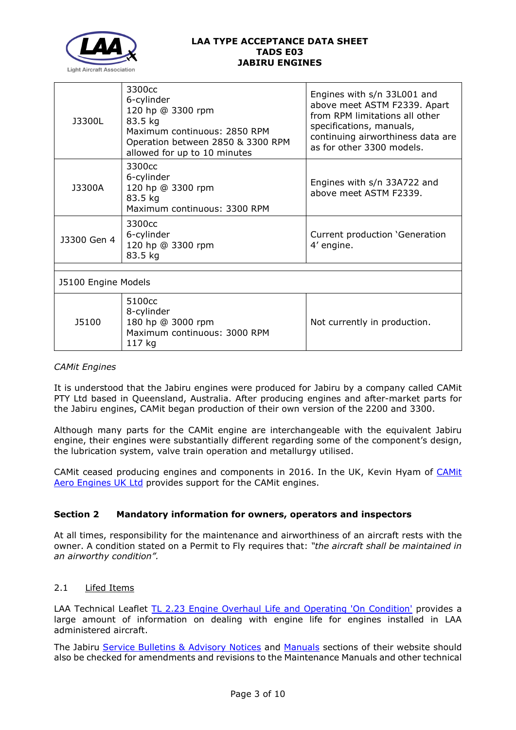

| J3300L              | 3300cc<br>6-cylinder<br>120 hp @ 3300 rpm<br>83.5 kg<br>Maximum continuous: 2850 RPM<br>Operation between 2850 & 3300 RPM<br>allowed for up to 10 minutes | Engines with s/n 33L001 and<br>above meet ASTM F2339. Apart<br>from RPM limitations all other<br>specifications, manuals,<br>continuing airworthiness data are<br>as for other 3300 models. |  |  |
|---------------------|-----------------------------------------------------------------------------------------------------------------------------------------------------------|---------------------------------------------------------------------------------------------------------------------------------------------------------------------------------------------|--|--|
| 13300A              | 3300 <sub>cc</sub><br>6-cylinder<br>120 hp @ 3300 rpm<br>83.5 kg<br>Maximum continuous: 3300 RPM                                                          | Engines with s/n 33A722 and<br>above meet ASTM F2339.                                                                                                                                       |  |  |
| J3300 Gen 4         | 3300 <sub>cc</sub><br>6-cylinder<br>120 hp @ 3300 rpm<br>83.5 kg                                                                                          | Current production 'Generation<br>4' engine.                                                                                                                                                |  |  |
| J5100 Engine Models |                                                                                                                                                           |                                                                                                                                                                                             |  |  |
| <b>J5100</b>        | 5100cc<br>8-cylinder<br>180 hp @ 3000 rpm<br>Maximum continuous: 3000 RPM<br>117 kg                                                                       | Not currently in production.                                                                                                                                                                |  |  |

### *CAMit Engines*

It is understood that the Jabiru engines were produced for Jabiru by a company called CAMit PTY Ltd based in Queensland, Australia. After producing engines and after-market parts for the Jabiru engines, CAMit began production of their own version of the 2200 and 3300.

Although many parts for the CAMit engine are interchangeable with the equivalent Jabiru engine, their engines were substantially different regarding some of the component's design, the lubrication system, valve train operation and metallurgy utilised.

CAMit ceased producing engines and components in 2016. In the UK, Kevin Hyam of [CAMit](https://camitaeroenginesuk.com/)  [Aero Engines UK Ltd](https://camitaeroenginesuk.com/) provides support for the CAMit engines.

# **Section 2 Mandatory information for owners, operators and inspectors**

At all times, responsibility for the maintenance and airworthiness of an aircraft rests with the owner. A condition stated on a Permit to Fly requires that: *"the aircraft shall be maintained in an airworthy condition".* 

# 2.1 Lifed Items

LAA Technical Leaflet [TL 2.23 Engine Overhaul Life and Operating 'On Condition'](http://www.lightaircraftassociation.co.uk/engineering/TechnicalLeaflets/Operating%20An%20Aircraft/TL%202%2023%20Engine%20overhaul%20life%20and%20operating%20on-condition.pdf) provides a large amount of information on dealing with engine life for engines installed in LAA administered aircraft.

The Jabiru [Service Bulletins & Advisory Notices](https://jabiru.net.au/service/service-bulletins/) and [Manuals](https://jabiru.net.au/service/manuals/) sections of their website should also be checked for amendments and revisions to the Maintenance Manuals and other technical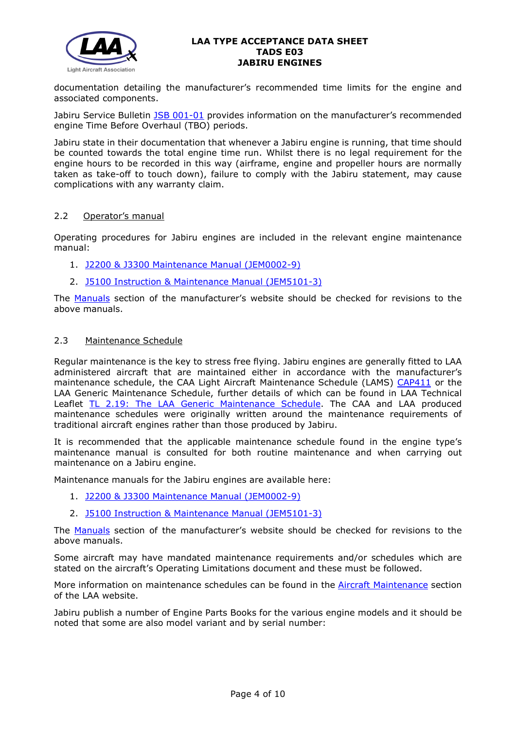

documentation detailing the manufacturer's recommended time limits for the engine and associated components.

Jabiru Service Bulletin [JSB 001-01](http://www.lightaircraftassociation.co.uk/engineering/TADs/E03/Jabiru%20JSB001-1%20TBO%20110504.pdf) provides information on the manufacturer's recommended engine Time Before Overhaul (TBO) periods.

Jabiru state in their documentation that whenever a Jabiru engine is running, that time should be counted towards the total engine time run. Whilst there is no legal requirement for the engine hours to be recorded in this way (airframe, engine and propeller hours are normally taken as take-off to touch down), failure to comply with the Jabiru statement, may cause complications with any warranty claim.

#### 2.2 Operator's manual

Operating procedures for Jabiru engines are included in the relevant engine maintenance manual:

- 1. [J2200 & J3300 Maintenance Manual \(JEM0002-9\)](http://www.lightaircraftassociation.co.uk/engineering/TADs/E03/2200%203300%20MM%20JEM0002-9%20081119.pdf)
- 2. [J5100 Instruction & Maintenance Manual \(JEM5101-3\)](http://www.lightaircraftassociation.co.uk/engineering/TADs/E03/5100%20MM%20JEM5101-3%200610.pdf)

The [Manuals](https://jabiru.net.au/service/manuals/) section of the manufacturer's website should be checked for revisions to the above manuals.

### 2.3 Maintenance Schedule

Regular maintenance is the key to stress free flying. Jabiru engines are generally fitted to LAA administered aircraft that are maintained either in accordance with the manufacturer's maintenance schedule, the CAA Light Aircraft Maintenance Schedule (LAMS) [CAP411](http://www.caa.co.uk/CAP411) or the LAA Generic Maintenance Schedule, further details of which can be found in LAA Technical Leaflet TL 2.19: The LAA Generic Maintenance Schedule</u>. The CAA and LAA produced maintenance schedules were originally written around the maintenance requirements of traditional aircraft engines rather than those produced by Jabiru.

It is recommended that the applicable maintenance schedule found in the engine type's maintenance manual is consulted for both routine maintenance and when carrying out maintenance on a Jabiru engine.

Maintenance manuals for the Jabiru engines are available here:

- 1. [J2200 & J3300 Maintenance Manual \(JEM0002-9\)](http://www.lightaircraftassociation.co.uk/engineering/TADs/E03/2200%203300%20MM%20JEM0002-9%20081119.pdf)
- 2. [J5100 Instruction & Maintenance Manual \(JEM5101-3\)](http://www.lightaircraftassociation.co.uk/engineering/TADs/E03/5100%20MM%20JEM5101-3%200610.pdf)

The [Manuals](https://jabiru.net.au/service/manuals/) section of the manufacturer's website should be checked for revisions to the above manuals.

Some aircraft may have mandated maintenance requirements and/or schedules which are stated on the aircraft's Operating Limitations document and these must be followed.

More information on maintenance schedules can be found in the [Aircraft Maintenance](http://www.lightaircraftassociation.co.uk/engineering/Maintenance/Aircraft_Maintenance.html) section of the LAA website.

Jabiru publish a number of Engine Parts Books for the various engine models and it should be noted that some are also model variant and by serial number: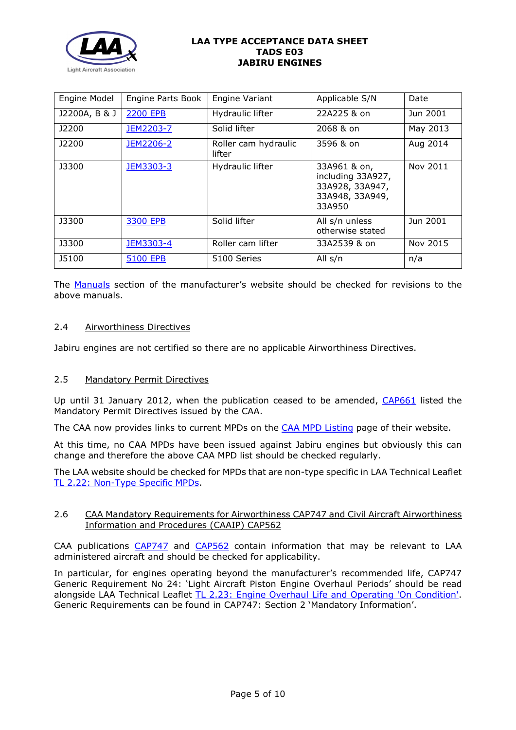

| Engine Model  | Engine Parts Book | Engine Variant                 | Applicable S/N                                                                    | Date     |
|---------------|-------------------|--------------------------------|-----------------------------------------------------------------------------------|----------|
| J2200A, B & J | <b>2200 EPB</b>   | Hydraulic lifter               | 22A225 & on                                                                       | Jun 2001 |
| <b>J2200</b>  | JEM2203-7         | Solid lifter                   | 2068 & on                                                                         | May 2013 |
| <b>J2200</b>  | JEM2206-2         | Roller cam hydraulic<br>lifter | 3596 & on                                                                         | Aug 2014 |
| <b>J3300</b>  | JEM3303-3         | Hydraulic lifter               | 33A961 & on,<br>including 33A927,<br>33A928, 33A947,<br>33A948, 33A949,<br>33A950 | Nov 2011 |
| <b>J3300</b>  | 3300 EPB          | Solid lifter                   | All s/n unless<br>otherwise stated                                                | Jun 2001 |
| <b>J3300</b>  | JEM3303-4         | Roller cam lifter              | 33A2539 & on                                                                      | Nov 2015 |
| <b>J5100</b>  | <b>5100 EPB</b>   | 5100 Series                    | All s/n                                                                           | n/a      |

The [Manuals](https://jabiru.net.au/service/manuals/) section of the manufacturer's website should be checked for revisions to the above manuals.

# 2.4 Airworthiness Directives

Jabiru engines are not certified so there are no applicable Airworthiness Directives.

### 2.5 Mandatory Permit Directives

Up until 31 January 2012, when the publication ceased to be amended, [CAP661](https://publicapps.caa.co.uk/docs/33/CAP661.PDF) listed the Mandatory Permit Directives issued by the CAA.

The CAA now provides links to current MPDs on the [CAA MPD Listing](http://publicapps.caa.co.uk/modalapplication.aspx?appid=11&mode=list&type=sercat&id=55) page of their website.

At this time, no CAA MPDs have been issued against Jabiru engines but obviously this can change and therefore the above CAA MPD list should be checked regularly.

The LAA website should be checked for MPDs that are non-type specific in LAA Technical Leaflet [TL 2.22: Non-Type Specific MPDs.](http://www.lightaircraftassociation.co.uk/engineering/TechnicalLeaflets/Operating%20An%20Aircraft/TL%202.22%20non-type%20specific%20MPDs.pdf)

### 2.6 CAA Mandatory Requirements for Airworthiness CAP747 and Civil Aircraft Airworthiness Information and Procedures (CAAIP) CAP562

CAA publications [CAP747](http://www.caa.co.uk/CAP747) and [CAP562](http://www.caa.co.uk/CAP562) contain information that may be relevant to LAA administered aircraft and should be checked for applicability.

In particular, for engines operating beyond the manufacturer's recommended life, CAP747 Generic Requirement No 24: 'Light Aircraft Piston Engine Overhaul Periods' should be read alongside LAA Technical Leaflet [TL 2.23: Engine Overhaul Life and Operating 'On Condition'.](http://www.lightaircraftassociation.co.uk/engineering/TechnicalLeaflets/Operating%20An%20Aircraft/TL%202%2023%20Engine%20overhaul%20life%20and%20operating%20on-condition.pdf) Generic Requirements can be found in CAP747: Section 2 'Mandatory Information'.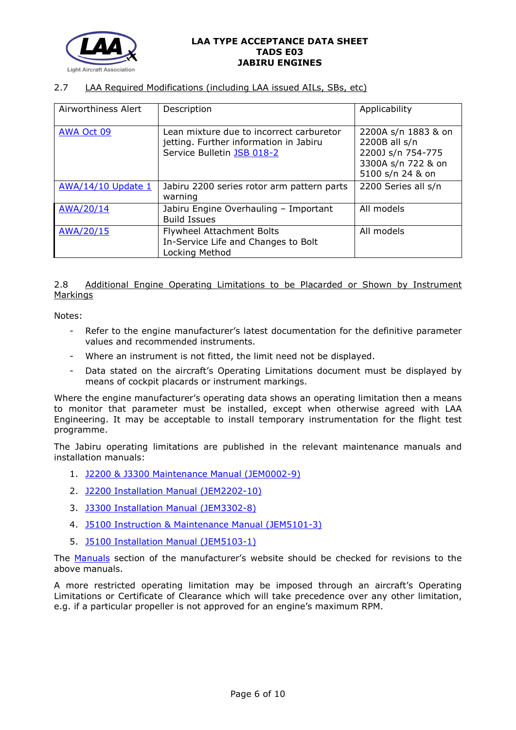

# 2.7 LAA Required Modifications (including LAA issued AILs, SBs, etc)

| Airworthiness Alert       | Description                                                                                                      | Applicability                                                                                       |
|---------------------------|------------------------------------------------------------------------------------------------------------------|-----------------------------------------------------------------------------------------------------|
| <b>AWA Oct 09</b>         | Lean mixture due to incorrect carburetor<br>jetting. Further information in Jabiru<br>Service Bulletin JSB 018-2 | 2200A s/n 1883 & on<br>2200B all s/n<br>2200J s/n 754-775<br>3300A s/n 722 & on<br>5100 s/n 24 & on |
| <b>AWA/14/10 Update 1</b> | Jabiru 2200 series rotor arm pattern parts<br>warning                                                            | 2200 Series all s/n                                                                                 |
| AWA/20/14                 | Jabiru Engine Overhauling - Important<br><b>Build Issues</b>                                                     | All models                                                                                          |
| AWA/20/15                 | Flywheel Attachment Bolts<br>In-Service Life and Changes to Bolt<br>Locking Method                               | All models                                                                                          |

2.8 Additional Engine Operating Limitations to be Placarded or Shown by Instrument Markings

Notes:

- Refer to the engine manufacturer's latest documentation for the definitive parameter values and recommended instruments.
- Where an instrument is not fitted, the limit need not be displayed.
- Data stated on the aircraft's Operating Limitations document must be displayed by means of cockpit placards or instrument markings.

Where the engine manufacturer's operating data shows an operating limitation then a means to monitor that parameter must be installed, except when otherwise agreed with LAA Engineering. It may be acceptable to install temporary instrumentation for the flight test programme.

The Jabiru operating limitations are published in the relevant maintenance manuals and installation manuals:

- 1. [J2200 & J3300 Maintenance Manual \(JEM0002-9\)](http://www.lightaircraftassociation.co.uk/engineering/TADs/E03/2200%203300%20MM%20JEM0002-9%20081119.pdf)
- 2. [J2200 Installation Manual \(JEM2202-10\)](http://www.lightaircraftassociation.co.uk/engineering/TADs/E03/2200%20Install%20JEM2202-10%20281019.pdf)
- 3. [J3300 Installation Manual \(JEM3302-8\)](http://www.lightaircraftassociation.co.uk/engineering/TADs/E03/3300%20Install%20JEM3302-8%20281019.pdf)
- 4. [J5100 Instruction & Maintenance Manual \(JEM5101-3\)](http://www.lightaircraftassociation.co.uk/engineering/TADs/E03/5100%20Install%20JEM5103-1%200609.pdf)
- 5. [J5100 Installation Manual \(JEM5103-1\)](http://www.lightaircraftassociation.co.uk/engineering/TADs/E03/5100%20Install%20JEM5103-1%200609.pdf)

The [Manuals](https://jabiru.net.au/service/manuals/) section of the manufacturer's website should be checked for revisions to the above manuals.

A more restricted operating limitation may be imposed through an aircraft's Operating Limitations or Certificate of Clearance which will take precedence over any other limitation, e.g. if a particular propeller is not approved for an engine's maximum RPM.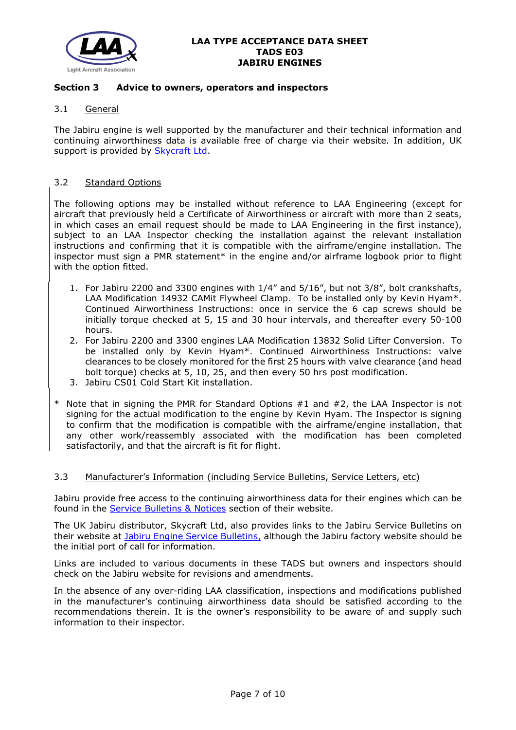

# **Section 3 Advice to owners, operators and inspectors**

# 3.1 General

The Jabiru engine is well supported by the manufacturer and their technical information and continuing airworthiness data is available free of charge via their website. In addition, UK support is provided by [Skycraft Ltd.](https://skycraft.ltd/acatalog/Jabiru_Aircraft.html)

### 3.2 Standard Options

The following options may be installed without reference to LAA Engineering (except for aircraft that previously held a Certificate of Airworthiness or aircraft with more than 2 seats, in which cases an email request should be made to LAA Engineering in the first instance), subject to an LAA Inspector checking the installation against the relevant installation instructions and confirming that it is compatible with the airframe/engine installation. The inspector must sign a PMR statement\* in the engine and/or airframe logbook prior to flight with the option fitted.

- 1. For Jabiru 2200 and 3300 engines with 1/4" and 5/16", but not 3/8", bolt crankshafts, LAA Modification 14932 CAMit Flywheel Clamp. To be installed only by Kevin Hyam\*. Continued Airworthiness Instructions: once in service the 6 cap screws should be initially torque checked at 5, 15 and 30 hour intervals, and thereafter every 50-100 hours.
- 2. For Jabiru 2200 and 3300 engines LAA Modification 13832 Solid Lifter Conversion. To be installed only by Kevin Hyam\*. Continued Airworthiness Instructions: valve clearances to be closely monitored for the first 25 hours with valve clearance (and head bolt torque) checks at 5, 10, 25, and then every 50 hrs post modification.
- 3. Jabiru CS01 Cold Start Kit installation.
- Note that in signing the PMR for Standard Options  $#1$  and  $#2$ , the LAA Inspector is not signing for the actual modification to the engine by Kevin Hyam. The Inspector is signing to confirm that the modification is compatible with the airframe/engine installation, that any other work/reassembly associated with the modification has been completed satisfactorily, and that the aircraft is fit for flight.

### 3.3 Manufacturer's Information (including Service Bulletins, Service Letters, etc)

Jabiru provide free access to the continuing airworthiness data for their engines which can be found in the [Service Bulletins & Notices](https://jabiru.net.au/service/service-bulletins/) section of their website.

The UK Jabiru distributor, Skycraft Ltd, also provides links to the Jabiru Service Bulletins on their website at [Jabiru Engine Service Bulletins,](https://skycraft.ltd/acatalog/Jabiru_Aircraft_Service_Bulletins.html) although the Jabiru factory website should be the initial port of call for information.

Links are included to various documents in these TADS but owners and inspectors should check on the Jabiru website for revisions and amendments.

In the absence of any over-riding LAA classification, inspections and modifications published in the manufacturer's continuing airworthiness data should be satisfied according to the recommendations therein. It is the owner's responsibility to be aware of and supply such information to their inspector.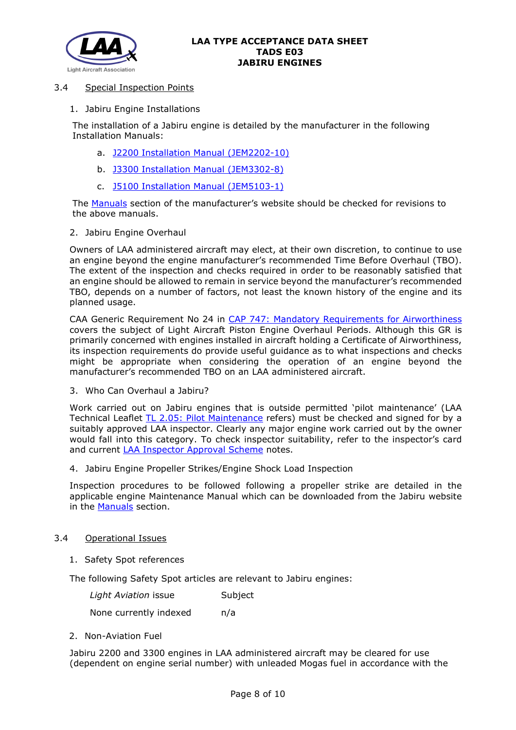

# 3.4 Special Inspection Points

1. Jabiru Engine Installations

The installation of a Jabiru engine is detailed by the manufacturer in the following Installation Manuals:

- a. [J2200 Installation Manual \(JEM2202-10\)](http://www.lightaircraftassociation.co.uk/engineering/TADs/E03/2200%20Install%20JEM2202-10%20281019.pdf)
- b. [J3300 Installation Manual \(JEM3302-8\)](http://www.lightaircraftassociation.co.uk/engineering/TADs/E03/3300%20Install%20JEM3302-8%20281019.pdf)
- c. [J5100 Installation Manual \(JEM5103-1\)](http://www.lightaircraftassociation.co.uk/engineering/TADs/E03/5100%20Install%20JEM5103-1%200609.pdf)

The [Manuals](https://jabiru.net.au/service/manuals/) section of the manufacturer's website should be checked for revisions to the above manuals.

2. Jabiru Engine Overhaul

Owners of LAA administered aircraft may elect, at their own discretion, to continue to use an engine beyond the engine manufacturer's recommended Time Before Overhaul (TBO). The extent of the inspection and checks required in order to be reasonably satisfied that an engine should be allowed to remain in service beyond the manufacturer's recommended TBO, depends on a number of factors, not least the known history of the engine and its planned usage.

CAA Generic Requirement No 24 in [CAP 747: Mandatory Requirements for Airworthiness](https://caa.co.uk/cap747) covers the subject of Light Aircraft Piston Engine Overhaul Periods. Although this GR is primarily concerned with engines installed in aircraft holding a Certificate of Airworthiness, its inspection requirements do provide useful guidance as to what inspections and checks might be appropriate when considering the operation of an engine beyond the manufacturer's recommended TBO on an LAA administered aircraft.

3. Who Can Overhaul a Jabiru?

Work carried out on Jabiru engines that is outside permitted 'pilot maintenance' (LAA Technical Leaflet [TL 2.05: Pilot Maintenance](http://www.lightaircraftassociation.co.uk/engineering/TechnicalLeaflets/Operating%20An%20Aircraft/TL%202.05%20Pilot%20Maintenance.pdf) refers) must be checked and signed for by a suitably approved LAA inspector. Clearly any major engine work carried out by the owner would fall into this category. To check inspector suitability, refer to the inspector's card and current **LAA Inspector Approval Scheme** notes.

4. Jabiru Engine Propeller Strikes/Engine Shock Load Inspection

Inspection procedures to be followed following a propeller strike are detailed in the applicable engine Maintenance Manual which can be downloaded from the Jabiru website in the [Manuals](https://jabiru.net.au/service/manuals/) section.

### 3.4 Operational Issues

1. Safety Spot references

The following Safety Spot articles are relevant to Jabiru engines:

| Light Aviation issue   | Subject |
|------------------------|---------|
| None currently indexed | n/a     |

2. Non-Aviation Fuel

Jabiru 2200 and 3300 engines in LAA administered aircraft may be cleared for use (dependent on engine serial number) with unleaded Mogas fuel in accordance with the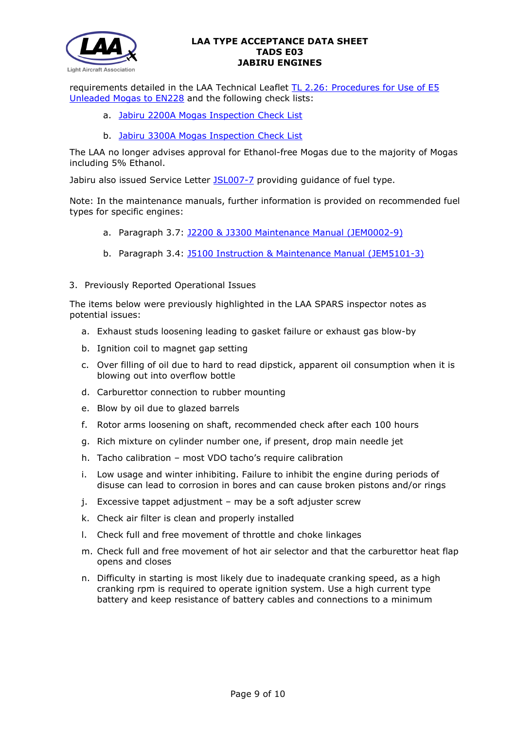

requirements detailed in the LAA Technical Leaflet TL 2.26: Procedures for Use of E5 [Unleaded Mogas to EN228](http://www.lightaircraftassociation.co.uk/engineering/TechnicalLeaflets/Operating%20An%20Aircraft/TL%202.26%20Procedure%20for%20using%20E5%20Unleaded%20Mogas.pdf) and the following check lists:

- a. [Jabiru 2200A Mogas Inspection Check List](http://www.lightaircraftassociation.co.uk/engineering/Mogas/Inspection%20Checklist%20-%20Jabiru%202200%20E5%20mogas.pdf)
- b. [Jabiru 3300A Mogas Inspection Check List](http://www.lightaircraftassociation.co.uk/engineering/Mogas/Inspection%20Checklist%20-%20Jabiru%203300A%20E5%20unleaded.pdf)

The LAA no longer advises approval for Ethanol-free Mogas due to the majority of Mogas including 5% Ethanol.

Jabiru also issued Service Letter **JSL007-7** providing guidance of fuel type.

Note: In the maintenance manuals, further information is provided on recommended fuel types for specific engines:

- a. Paragraph 3.7: [J2200 & J3300 Maintenance Manual \(JEM0002-9\)](http://www.lightaircraftassociation.co.uk/engineering/TADs/E03/2200%203300%20MM%20JEM0002-9%20081119.pdf)
- b. Paragraph 3.4: [J5100 Instruction & Maintenance Manual \(JEM5101-3\)](http://www.lightaircraftassociation.co.uk/engineering/TADs/E03/5100%20MM%20JEM5101-3%200610.pdf)

### 3. Previously Reported Operational Issues

The items below were previously highlighted in the LAA SPARS inspector notes as potential issues:

- a. Exhaust studs loosening leading to gasket failure or exhaust gas blow-by
- b. Ignition coil to magnet gap setting
- c. Over filling of oil due to hard to read dipstick, apparent oil consumption when it is blowing out into overflow bottle
- d. Carburettor connection to rubber mounting
- e. Blow by oil due to glazed barrels
- f. Rotor arms loosening on shaft, recommended check after each 100 hours
- g. Rich mixture on cylinder number one, if present, drop main needle jet
- h. Tacho calibration most VDO tacho's require calibration
- i. Low usage and winter inhibiting. Failure to inhibit the engine during periods of disuse can lead to corrosion in bores and can cause broken pistons and/or rings
- j. Excessive tappet adjustment may be a soft adjuster screw
- k. Check air filter is clean and properly installed
- l. Check full and free movement of throttle and choke linkages
- m. Check full and free movement of hot air selector and that the carburettor heat flap opens and closes
- n. Difficulty in starting is most likely due to inadequate cranking speed, as a high cranking rpm is required to operate ignition system. Use a high current type battery and keep resistance of battery cables and connections to a minimum